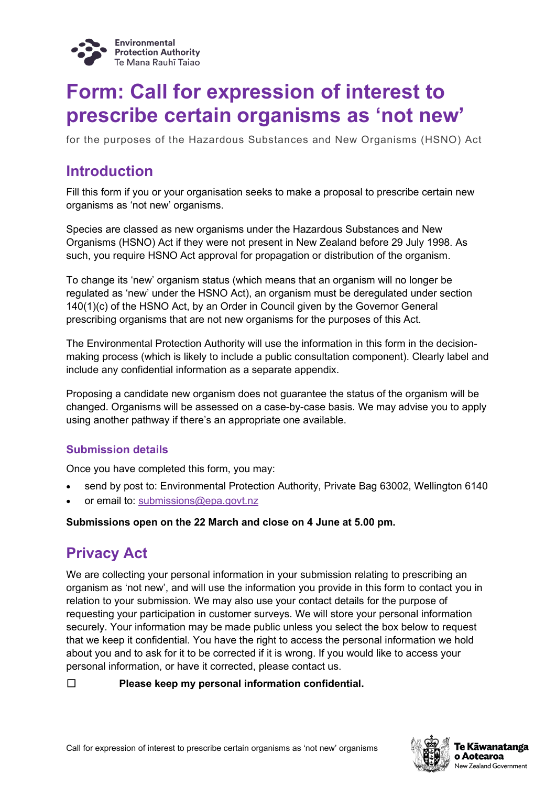

## **Form: Call for expression of interest to prescribe certain organisms as 'not new'**

for the purposes of the Hazardous Substances and New Organisms (HSNO) Act

### **Introduction**

Fill this form if you or your organisation seeks to make a proposal to prescribe certain new organisms as 'not new' organisms.

Species are classed as new organisms under the Hazardous Substances and New Organisms (HSNO) Act if they were not present in New Zealand before 29 July 1998. As such, you require HSNO Act approval for propagation or distribution of the organism.

To change its 'new' organism status (which means that an organism will no longer be regulated as 'new' under the HSNO Act), an organism must be deregulated under section 140(1)(c) of the HSNO Act, by an Order in Council given by the Governor General prescribing organisms that are not new organisms for the purposes of this Act.

The Environmental Protection Authority will use the information in this form in the decisionmaking process (which is likely to include a public consultation component). Clearly label and include any confidential information as a separate appendix.

Proposing a candidate new organism does not guarantee the status of the organism will be changed. Organisms will be assessed on a case-by-case basis. We may advise you to apply using another pathway if there's an appropriate one available.

### **Submission details**

Once you have completed this form, you may:

- send by post to: Environmental Protection Authority, Private Bag 63002, Wellington 6140
- or email to: [submissions@epa.govt.nz](mailto:submissions@epa.govt.nz)

#### **Submissions open on the 22 March and close on 4 June at 5.00 pm.**

### **Privacy Act**

We are collecting your personal information in your submission relating to prescribing an organism as 'not new', and will use the information you provide in this form to contact you in relation to your submission. We may also use your contact details for the purpose of requesting your participation in customer surveys. We will store your personal information securely. Your information may be made public unless you select the box below to request that we keep it confidential. You have the right to access the personal information we hold about you and to ask for it to be corrected if it is wrong. If you would like to access your personal information, or have it corrected, please contact us.

#### ☐ **Please keep my personal information confidential.**

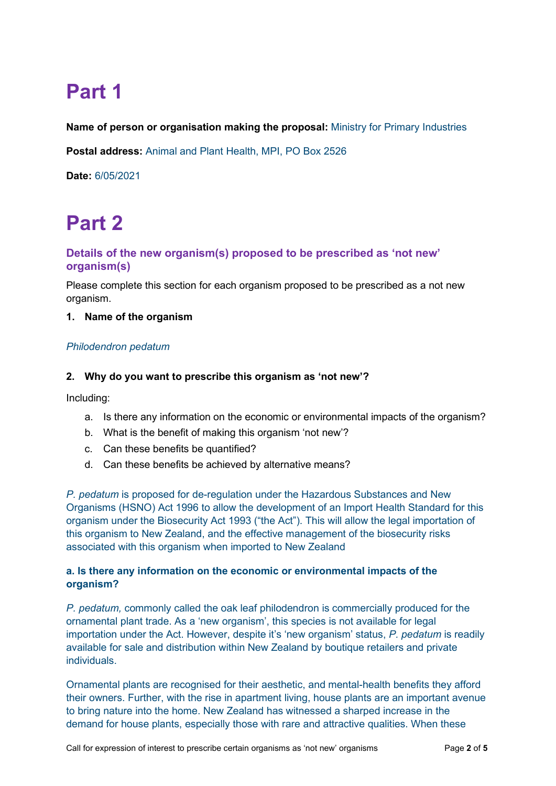# **Part 1**

**Name of person or organisation making the proposal:** Ministry for Primary Industries

**Postal address:** Animal and Plant Health, MPI, PO Box 2526

**Date:** 6/05/2021

# **Part 2**

### **Details of the new organism(s) proposed to be prescribed as 'not new' organism(s)**

Please complete this section for each organism proposed to be prescribed as a not new organism.

#### **1. Name of the organism**

#### *Philodendron pedatum*

#### **2. Why do you want to prescribe this organism as 'not new'?**

Including:

- a. Is there any information on the economic or environmental impacts of the organism?
- b. What is the benefit of making this organism 'not new'?
- c. Can these benefits be quantified?
- d. Can these benefits be achieved by alternative means?

*P. pedatum* is proposed for de-regulation under the Hazardous Substances and New Organisms (HSNO) Act 1996 to allow the development of an Import Health Standard for this organism under the Biosecurity Act 1993 ("the Act"). This will allow the legal importation of this organism to New Zealand, and the effective management of the biosecurity risks associated with this organism when imported to New Zealand

#### **a. Is there any information on the economic or environmental impacts of the organism?**

*P. pedatum,* commonly called the oak leaf philodendron is commercially produced for the ornamental plant trade. As a 'new organism', this species is not available for legal importation under the Act. However, despite it's 'new organism' status, *P. pedatum* is readily available for sale and distribution within New Zealand by boutique retailers and private **individuals** 

Ornamental plants are recognised for their aesthetic, and mental-health benefits they afford their owners. Further, with the rise in apartment living, house plants are an important avenue to bring nature into the home. New Zealand has witnessed a sharped increase in the demand for house plants, especially those with rare and attractive qualities. When these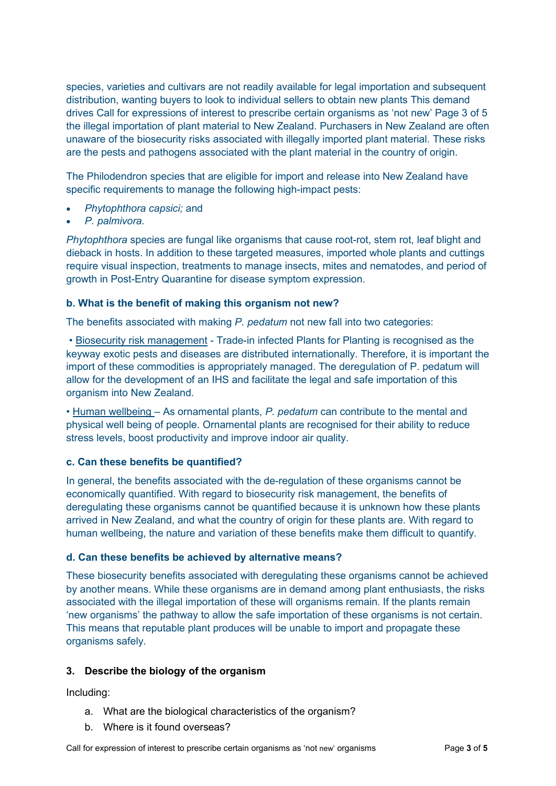species, varieties and cultivars are not readily available for legal importation and subsequent distribution, wanting buyers to look to individual sellers to obtain new plants This demand drives Call for expressions of interest to prescribe certain organisms as 'not new' Page 3 of 5 the illegal importation of plant material to New Zealand. Purchasers in New Zealand are often unaware of the biosecurity risks associated with illegally imported plant material. These risks are the pests and pathogens associated with the plant material in the country of origin.

The Philodendron species that are eligible for import and release into New Zealand have specific requirements to manage the following high-impact pests:

- *Phytophthora capsici;* and
- *P. palmivora.*

*Phytophthora* species are fungal like organisms that cause root-rot, stem rot, leaf blight and dieback in hosts. In addition to these targeted measures, imported whole plants and cuttings require visual inspection, treatments to manage insects, mites and nematodes, and period of growth in Post-Entry Quarantine for disease symptom expression.

#### **b. What is the benefit of making this organism not new?**

The benefits associated with making *P. pedatum* not new fall into two categories:

• Biosecurity risk management - Trade-in infected Plants for Planting is recognised as the keyway exotic pests and diseases are distributed internationally. Therefore, it is important the import of these commodities is appropriately managed. The deregulation of P. pedatum will allow for the development of an IHS and facilitate the legal and safe importation of this organism into New Zealand.

• Human wellbeing – As ornamental plants, *P. pedatum* can contribute to the mental and physical well being of people. Ornamental plants are recognised for their ability to reduce stress levels, boost productivity and improve indoor air quality.

#### **c. Can these benefits be quantified?**

In general, the benefits associated with the de-regulation of these organisms cannot be economically quantified. With regard to biosecurity risk management, the benefits of deregulating these organisms cannot be quantified because it is unknown how these plants arrived in New Zealand, and what the country of origin for these plants are. With regard to human wellbeing, the nature and variation of these benefits make them difficult to quantify.

#### **d. Can these benefits be achieved by alternative means?**

These biosecurity benefits associated with deregulating these organisms cannot be achieved by another means. While these organisms are in demand among plant enthusiasts, the risks associated with the illegal importation of these will organisms remain. If the plants remain 'new organisms' the pathway to allow the safe importation of these organisms is not certain. This means that reputable plant produces will be unable to import and propagate these organisms safely.

#### **3. Describe the biology of the organism**

Including:

- a. What are the biological characteristics of the organism?
- b. Where is it found overseas?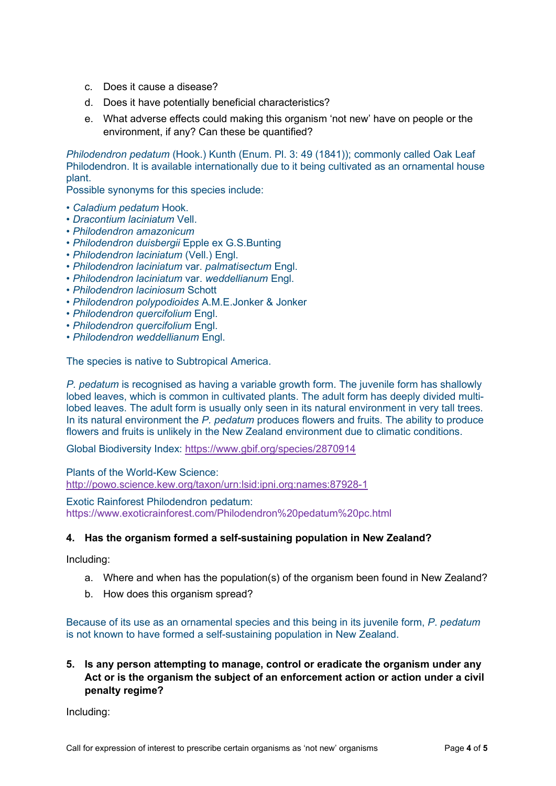- c. Does it cause a disease?
- d. Does it have potentially beneficial characteristics?
- e. What adverse effects could making this organism 'not new' have on people or the environment, if any? Can these be quantified?

*Philodendron pedatum* (Hook.) Kunth (Enum. Pl. 3: 49 (1841)); commonly called Oak Leaf Philodendron. It is available internationally due to it being cultivated as an ornamental house plant.

Possible synonyms for this species include:

- *Caladium pedatum* Hook.
- *Dracontium laciniatum* Vell.
- *Philodendron amazonicum*
- *Philodendron duisbergii* Epple ex G.S.Bunting
- *Philodendron laciniatum* (Vell.) Engl.
- *Philodendron laciniatum* var. *palmatisectum* Engl.
- *Philodendron laciniatum* var. *weddellianum* Engl.
- *Philodendron laciniosum* Schott
- *Philodendron polypodioides* A.M.E.Jonker & Jonker
- *• Philodendron quercifolium* Engl.
- *Philodendron quercifolium* Engl.
- *Philodendron weddellianum* Engl.

The species is native to Subtropical America.

*P. pedatum* is recognised as having a variable growth form. The juvenile form has shallowly lobed leaves, which is common in cultivated plants. The adult form has deeply divided multilobed leaves. The adult form is usually only seen in its natural environment in very tall trees. In its natural environment the *P. pedatum* produces flowers and fruits. The ability to produce flowers and fruits is unlikely in the New Zealand environment due to climatic conditions.

Global Biodiversity Index:<https://www.gbif.org/species/2870914>

Plants of the World-Kew Science: <http://powo.science.kew.org/taxon/urn:lsid:ipni.org:names:87928-1>

Exotic Rainforest Philodendron pedatum: https://www.exoticrainforest.com/Philodendron%20pedatum%20pc.html

#### **4. Has the organism formed a self-sustaining population in New Zealand?**

Including:

- a. Where and when has the population(s) of the organism been found in New Zealand?
- b. How does this organism spread?

Because of its use as an ornamental species and this being in its juvenile form, *P*. *pedatum* is not known to have formed a self-sustaining population in New Zealand.

**5. Is any person attempting to manage, control or eradicate the organism under any Act or is the organism the subject of an enforcement action or action under a civil penalty regime?**

Including: